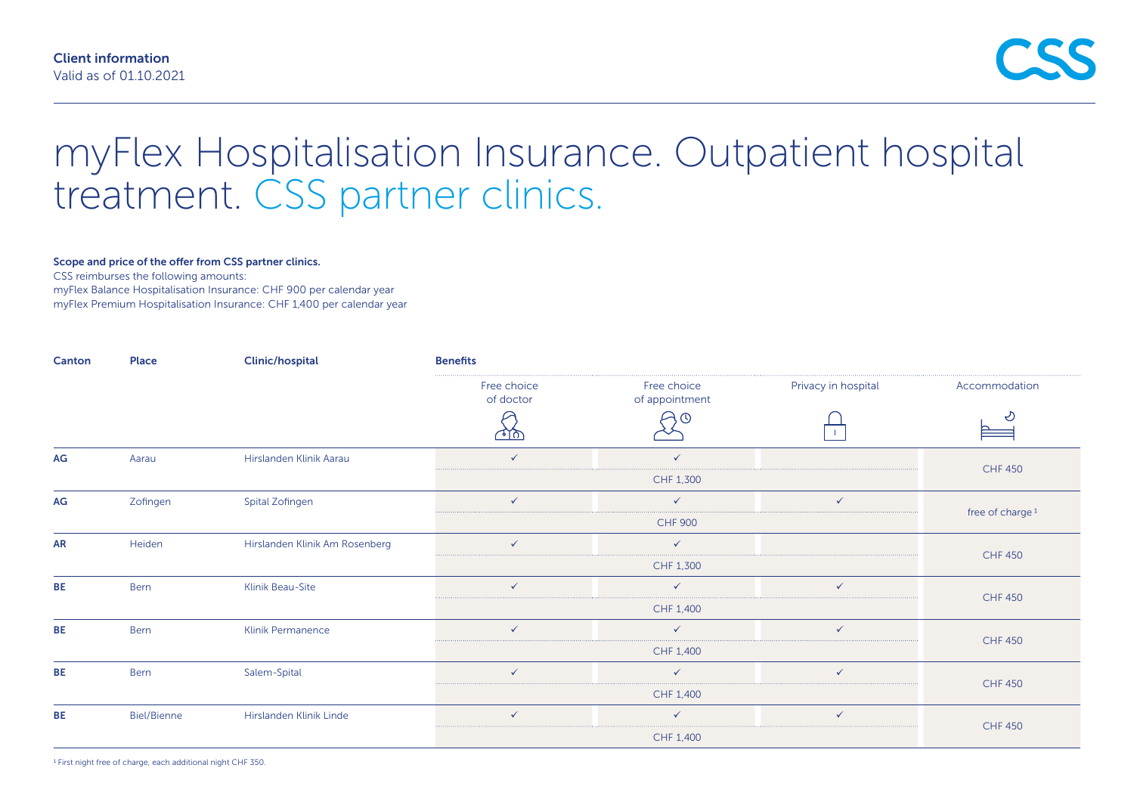# myFlex Hospitalisation Insurance. Outpatient hospital treatment. CSS partner clinics.

#### Scope and price of the offer from CSS partner clinics.

CSS reimburses the following amounts:

myFlex Balance Hospitalisation Insurance: CHF 900 per calendar year

myFlex Premium Hospitalisation Insurance: CHF 1,400 per calendar year

| Canton    | Place              | <b>Clinic/hospital</b>         | <b>Benefits</b>                   |                                          |                     |                             |
|-----------|--------------------|--------------------------------|-----------------------------------|------------------------------------------|---------------------|-----------------------------|
|           |                    |                                | Free choice<br>of doctor<br>ম্বাক | Free choice<br>of appointment<br>$\odot$ | Privacy in hospital | Accommodation<br>ご          |
|           |                    |                                |                                   |                                          |                     |                             |
|           | CHF 1,300          |                                |                                   |                                          |                     |                             |
| AG        | Zofingen           | Spital Zofingen                | $\checkmark$                      | $\checkmark$                             | $\checkmark$        | free of charge <sup>1</sup> |
|           |                    |                                |                                   | <b>CHF 900</b>                           |                     |                             |
| <b>AR</b> | Heiden             | Hirslanden Klinik Am Rosenberg | $\checkmark$                      | $\checkmark$                             |                     |                             |
|           |                    |                                | CHF 1,300                         |                                          |                     | <b>CHF 450</b>              |
| <b>BE</b> | Bern               | Klinik Beau-Site               | $\checkmark$                      | $\checkmark$                             | $\checkmark$        | <b>CHF 450</b>              |
|           |                    |                                | CHF 1,400                         |                                          |                     |                             |
| <b>BE</b> | Bern               | Klinik Permanence              | $\checkmark$                      | $\checkmark$                             | $\checkmark$        |                             |
|           |                    |                                | CHF 1,400                         |                                          |                     | <b>CHF 450</b>              |
| <b>BE</b> | <b>Bern</b>        | Salem-Spital                   | $\checkmark$                      | $\checkmark$                             | $\checkmark$        |                             |
|           |                    |                                | CHF 1,400                         |                                          |                     | <b>CHF 450</b>              |
| <b>BE</b> | <b>Biel/Bienne</b> | Hirslanden Klinik Linde        | $\checkmark$                      | $\checkmark$                             | $\checkmark$        | <b>CHF 450</b>              |
|           |                    |                                |                                   | CHF 1,400                                |                     |                             |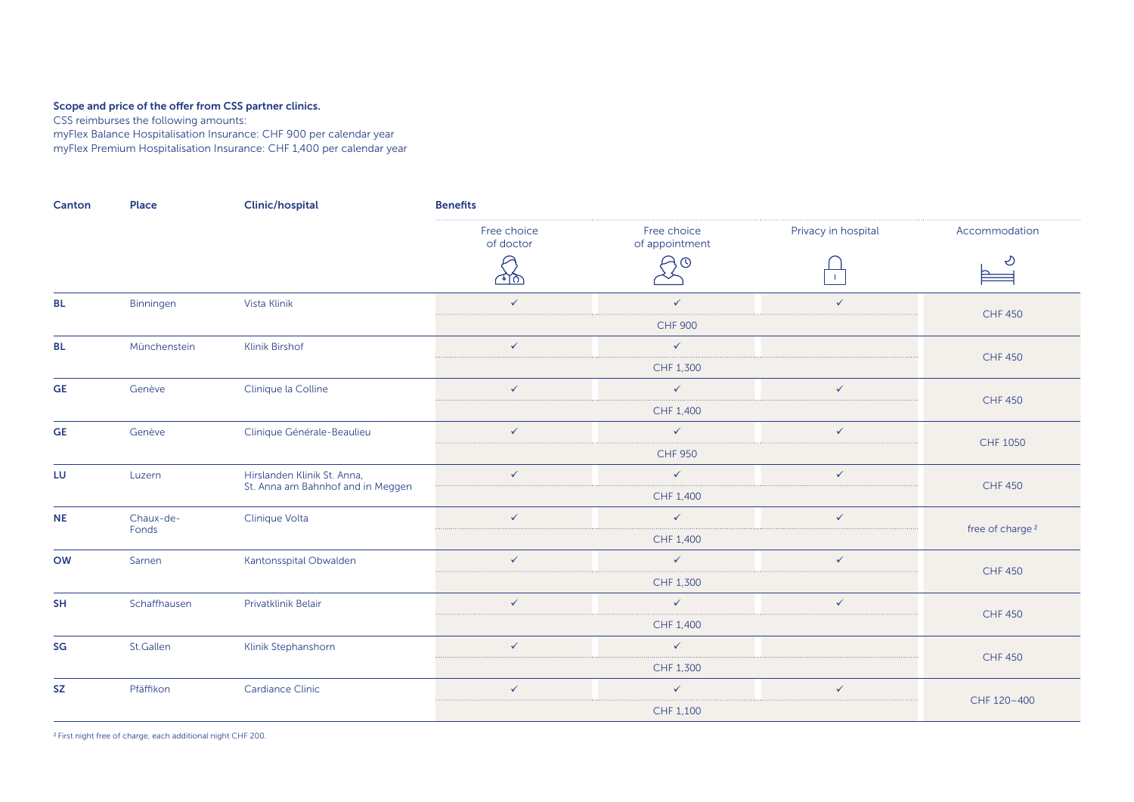## Scope and price of the offer from CSS partner clinics.

CSS reimburses the following amounts:

myFlex Balance Hospitalisation Insurance: CHF 900 per calendar year myFlex Premium Hospitalisation Insurance: CHF 1,400 per calendar year

| Canton    | <b>Place</b>       | <b>Clinic/hospital</b>                                           | <b>Benefits</b>          |                               |                     |                             |  |
|-----------|--------------------|------------------------------------------------------------------|--------------------------|-------------------------------|---------------------|-----------------------------|--|
|           |                    |                                                                  | Free choice<br>of doctor | Free choice<br>of appointment | Privacy in hospital | Accommodation               |  |
|           |                    |                                                                  | শক                       | $\circ$                       | $\mathbf{1}$        | D                           |  |
| <b>BL</b> | Binningen          | Vista Klinik                                                     | $\checkmark$             | $\checkmark$                  | $\checkmark$        | <b>CHF 450</b>              |  |
|           |                    |                                                                  |                          | <b>CHF 900</b>                |                     |                             |  |
| <b>BL</b> | Münchenstein       | <b>Klinik Birshof</b>                                            | $\checkmark$             | $\checkmark$                  |                     |                             |  |
|           |                    |                                                                  |                          | CHF 1,300                     |                     | <b>CHF 450</b>              |  |
| <b>GE</b> | Genève             | Clinique la Colline                                              | $\checkmark$             | $\checkmark$                  | $\checkmark$        | <b>CHF 450</b>              |  |
|           |                    |                                                                  |                          | CHF 1,400                     |                     |                             |  |
| <b>GE</b> | Genève             | Clinique Générale-Beaulieu                                       | $\checkmark$             | $\checkmark$                  | $\checkmark$        |                             |  |
|           |                    |                                                                  |                          | <b>CHF 950</b>                |                     | CHF 1050                    |  |
| LU        | Luzern             | Hirslanden Klinik St. Anna,<br>St. Anna am Bahnhof and in Meggen | $\checkmark$             | $\checkmark$                  | $\checkmark$        |                             |  |
|           |                    |                                                                  |                          | CHF 1,400                     |                     | <b>CHF 450</b>              |  |
| <b>NE</b> | Chaux-de-<br>Fonds | Clinique Volta                                                   | $\checkmark$             | $\checkmark$                  | $\checkmark$        | free of charge <sup>2</sup> |  |
|           |                    |                                                                  |                          | CHF 1,400                     |                     |                             |  |
| <b>OW</b> | Sarnen             | Kantonsspital Obwalden                                           | $\checkmark$             | $\checkmark$                  | $\checkmark$        |                             |  |
|           |                    |                                                                  |                          | CHF 1,300                     |                     | <b>CHF 450</b>              |  |
| <b>SH</b> | Schaffhausen       | Privatklinik Belair                                              | $\checkmark$             | $\checkmark$                  | $\checkmark$        |                             |  |
|           |                    |                                                                  |                          | CHF 1,400                     |                     | <b>CHF 450</b>              |  |
| SG        | St.Gallen          | Klinik Stephanshorn                                              | $\checkmark$             | $\checkmark$                  |                     |                             |  |
|           |                    |                                                                  |                          | CHF 1,300                     |                     | <b>CHF 450</b>              |  |
| <b>SZ</b> | Pfäffikon          | Cardiance Clinic                                                 | $\checkmark$             | $\checkmark$                  | $\checkmark$        |                             |  |
|           |                    |                                                                  |                          | CHF 1,100                     |                     | CHF 120-400                 |  |

2 First night free of charge, each additional night CHF 200.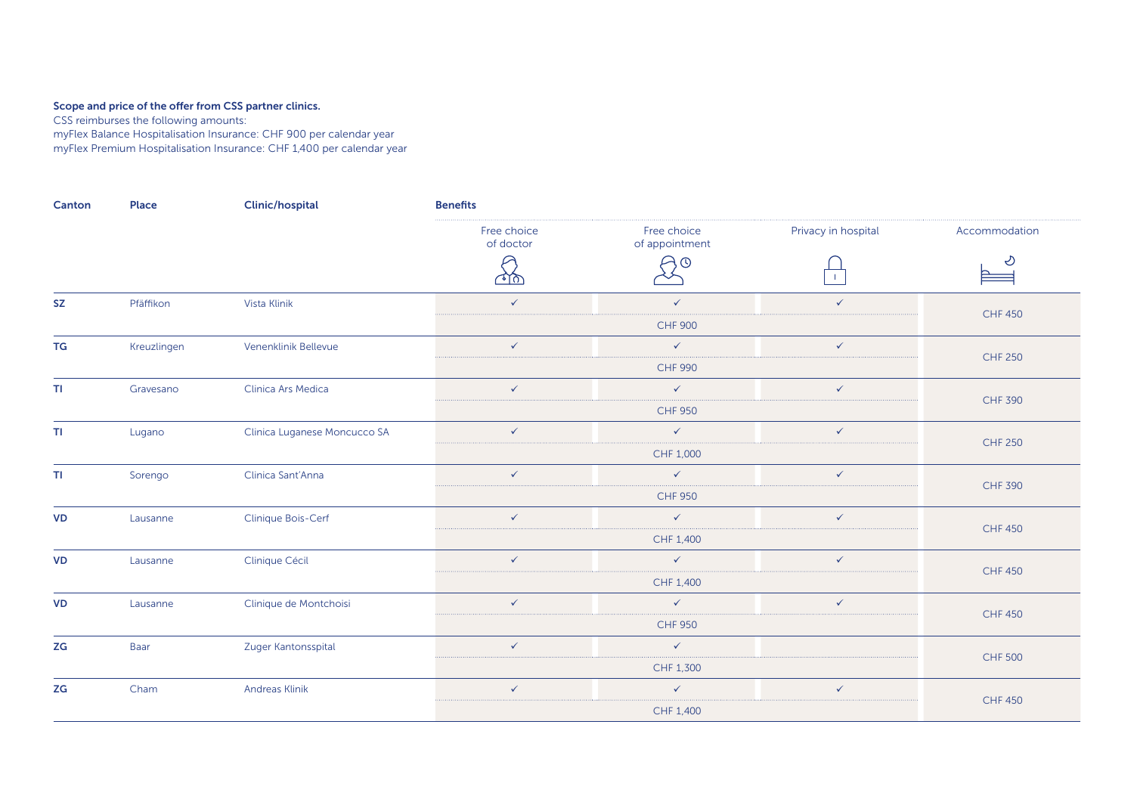#### Scope and price of the offer from CSS partner clinics.

CSS reimburses the following amounts:

myFlex Balance Hospitalisation Insurance: CHF 900 per calendar year myFlex Premium Hospitalisation Insurance: CHF 1,400 per calendar year

| Canton               | Place       | <b>Clinic/hospital</b>       | <b>Benefits</b>          |                               |                     |                                                                                                                            |  |
|----------------------|-------------|------------------------------|--------------------------|-------------------------------|---------------------|----------------------------------------------------------------------------------------------------------------------------|--|
|                      |             |                              | Free choice<br>of doctor | Free choice<br>of appointment | Privacy in hospital | Accommodation                                                                                                              |  |
|                      |             |                              | ৰাচা                     | ) O                           |                     | D<br>≘                                                                                                                     |  |
| <b>SZ</b>            | Pfäffikon   | Vista Klinik                 | $\checkmark$             | $\checkmark$                  | $\checkmark$        |                                                                                                                            |  |
|                      |             |                              |                          | <b>CHF 900</b>                |                     |                                                                                                                            |  |
| TG                   | Kreuzlingen | Venenklinik Bellevue         | $\checkmark$             | $\checkmark$                  | $\checkmark$        |                                                                                                                            |  |
|                      |             |                              |                          | <b>CHF 990</b>                |                     | <b>CHF 450</b><br><b>CHF 250</b><br><b>CHF 390</b><br><b>CHF 250</b><br><b>CHF 390</b><br><b>CHF 450</b><br><b>CHF 450</b> |  |
| T1                   | Gravesano   | Clinica Ars Medica           | $\checkmark$             | $\checkmark$                  | $\checkmark$        |                                                                                                                            |  |
|                      |             |                              |                          | <b>CHF 950</b>                |                     |                                                                                                                            |  |
| T1                   | Lugano      | Clinica Luganese Moncucco SA | $\checkmark$             | $\checkmark$                  | $\checkmark$        |                                                                                                                            |  |
|                      |             |                              | CHF 1,000                |                               |                     |                                                                                                                            |  |
| $\mathsf T\mathsf I$ | Sorengo     | Clinica Sant'Anna            | $\checkmark$             | $\checkmark$                  | $\checkmark$        |                                                                                                                            |  |
|                      |             |                              | <b>CHF 950</b>           |                               |                     |                                                                                                                            |  |
| <b>VD</b>            | Lausanne    | Clinique Bois-Cerf           | $\checkmark$             | $\checkmark$                  | $\checkmark$        |                                                                                                                            |  |
|                      |             |                              | CHF 1,400                |                               |                     | <b>CHF 450</b>                                                                                                             |  |
| <b>VD</b>            | Lausanne    | Clinique Cécil               | $\checkmark$             | $\checkmark$                  | $\checkmark$        |                                                                                                                            |  |
|                      |             |                              | CHF 1,400                |                               |                     |                                                                                                                            |  |
| <b>VD</b>            | Lausanne    | Clinique de Montchoisi       | $\checkmark$             | $\checkmark$                  | $\checkmark$        |                                                                                                                            |  |
|                      |             |                              | <b>CHF 950</b>           |                               |                     |                                                                                                                            |  |
| ZG                   | Baar        | Zuger Kantonsspital          | $\checkmark$             | $\checkmark$                  |                     |                                                                                                                            |  |
|                      |             |                              | CHF 1,300                |                               |                     | <b>CHF 500</b>                                                                                                             |  |
| ZG                   | Cham        | Andreas Klinik               | $\checkmark$             | $\checkmark$                  | $\checkmark$        | <b>CHF 450</b>                                                                                                             |  |
|                      |             |                              |                          | CHF 1,400                     |                     |                                                                                                                            |  |